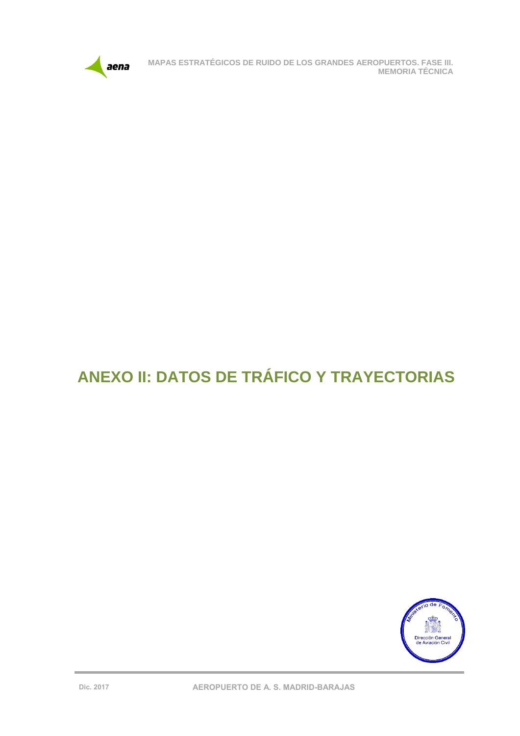

# **ANEXO II: DATOS DE TRÁFICO Y TRAYECTORIAS**

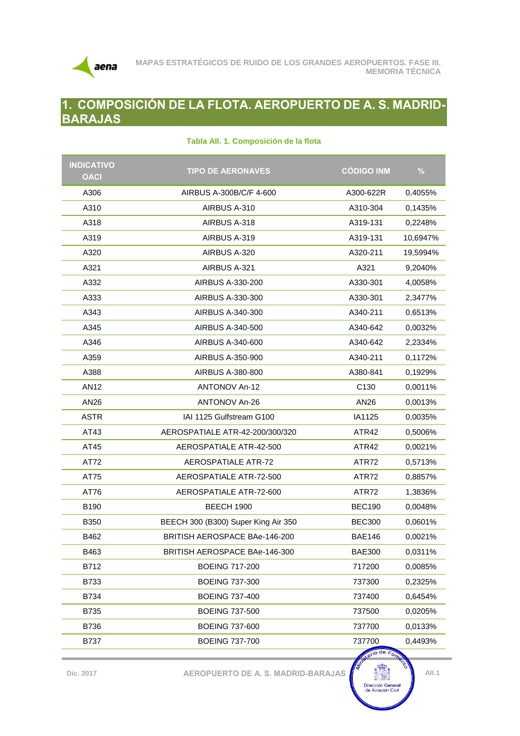

## **1. COMPOSICIÓN DE LA FLOTA. AEROPUERTO DE A. S. MADRID-BARAJAS**

| <b>INDICATIVO</b><br><b>OACI</b> | <b>TIPO DE AERONAVES</b>             | <b>CÓDIGO INM</b>       | $\frac{0}{0}$ |
|----------------------------------|--------------------------------------|-------------------------|---------------|
| A306                             | AIRBUS A-300B/C/F 4-600              | A300-622R               | 0,4055%       |
| A310                             | AIRBUS A-310                         | A310-304                | 0,1435%       |
| A318                             | AIRBUS A-318                         | A319-131                | 0,2248%       |
| A319                             | AIRBUS A-319                         | A319-131                | 10,6947%      |
| A320                             | AIRBUS A-320                         | A320-211                | 19,5994%      |
| A321                             | AIRBUS A-321                         | A321                    | 9,2040%       |
| A332                             | AIRBUS A-330-200                     | A330-301                | 4,0058%       |
| A333                             | AIRBUS A-330-300                     | A330-301                | 2,3477%       |
| A343                             | AIRBUS A-340-300                     | A340-211                | 0,6513%       |
| A345                             | AIRBUS A-340-500                     | A340-642                | 0,0032%       |
| A346                             | AIRBUS A-340-600                     | A340-642                | 2,2334%       |
| A359                             | AIRBUS A-350-900                     | A340-211                | 0,1172%       |
| A388                             | AIRBUS A-380-800                     | A380-841                | 0,1929%       |
| <b>AN12</b>                      | <b>ANTONOV An-12</b>                 | C <sub>130</sub>        | 0,0011%       |
| AN26                             | <b>ANTONOV An-26</b>                 | AN26                    | 0,0013%       |
| <b>ASTR</b>                      | IAI 1125 Gulfstream G100             | IA1125                  | 0,0035%       |
| AT43                             | AEROSPATIALE ATR-42-200/300/320      | ATR42                   | 0,5006%       |
| AT45                             | AEROSPATIALE ATR-42-500              | ATR42                   | 0,0021%       |
| AT72                             | <b>AEROSPATIALE ATR-72</b>           | ATR72                   | 0,5713%       |
| AT75                             | AEROSPATIALE ATR-72-500              | ATR72                   | 0,8857%       |
| AT76                             | AEROSPATIALE ATR-72-600              | ATR72                   | 1,3836%       |
| B190                             | <b>BEECH 1900</b>                    | <b>BEC190</b>           | 0,0048%       |
| <b>B350</b>                      | BEECH 300 (B300) Super King Air 350  | <b>BEC300</b>           | 0,0601%       |
| B462                             | <b>BRITISH AEROSPACE BAe-146-200</b> | <b>BAE146</b>           | 0,0021%       |
| B463                             | BRITISH AEROSPACE BAe-146-300        | <b>BAE300</b>           | 0,0311%       |
| B712                             | <b>BOEING 717-200</b>                | 717200                  | 0,0085%       |
| B733                             | <b>BOEING 737-300</b>                | 737300                  | 0,2325%       |
| B734                             | <b>BOEING 737-400</b>                | 737400                  | 0,6454%       |
| B735                             | <b>BOEING 737-500</b>                | 737500                  | 0,0205%       |
| B736                             | <b>BOEING 737-600</b>                | 737700                  | 0,0133%       |
| <b>B737</b>                      | <b>BOEING 737-700</b>                | 737700<br>$\log$ de $F$ | 0,4493%       |

#### **Tabla AII. 1. Composición de la flota**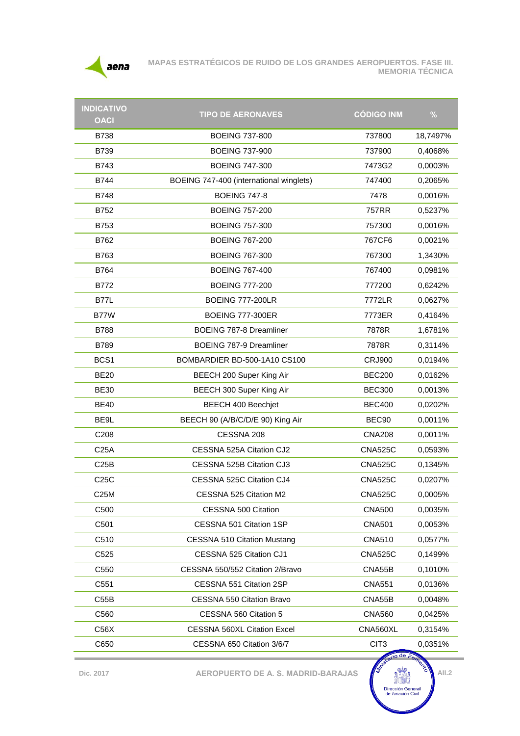

| <b>INDICATIVO</b> | <b>TIPO DE AERONAVES</b>                | <b>CÓDIGO INM</b> | $\frac{0}{0}$ |
|-------------------|-----------------------------------------|-------------------|---------------|
| <b>OACI</b>       |                                         |                   |               |
| <b>B738</b>       | <b>BOEING 737-800</b>                   | 737800            | 18,7497%      |
| <b>B739</b>       | <b>BOEING 737-900</b>                   | 737900            | 0,4068%       |
| B743              | <b>BOEING 747-300</b>                   | 7473G2            | 0,0003%       |
| B744              | BOEING 747-400 (international winglets) | 747400            | 0,2065%       |
| B748              | <b>BOEING 747-8</b>                     | 7478              | 0,0016%       |
| B752              | <b>BOEING 757-200</b>                   | 757RR             | 0,5237%       |
| <b>B753</b>       | <b>BOEING 757-300</b>                   | 757300            | 0,0016%       |
| B762              | <b>BOEING 767-200</b>                   | 767CF6            | 0,0021%       |
| B763              | <b>BOEING 767-300</b>                   | 767300            | 1,3430%       |
| B764              | <b>BOEING 767-400</b>                   | 767400            | 0,0981%       |
| B772              | <b>BOEING 777-200</b>                   | 777200            | 0,6242%       |
| <b>B77L</b>       | <b>BOEING 777-200LR</b>                 | 7772LR            | 0,0627%       |
| B77W              | <b>BOEING 777-300ER</b>                 | 7773ER            | 0,4164%       |
| <b>B788</b>       | <b>BOEING 787-8 Dreamliner</b>          | 7878R             | 1,6781%       |
| <b>B789</b>       | BOEING 787-9 Dreamliner                 | 7878R             | 0,3114%       |
| BCS <sub>1</sub>  | BOMBARDIER BD-500-1A10 CS100            | <b>CRJ900</b>     | 0,0194%       |
| <b>BE20</b>       | BEECH 200 Super King Air                | <b>BEC200</b>     | 0,0162%       |
| <b>BE30</b>       | BEECH 300 Super King Air                | <b>BEC300</b>     | 0,0013%       |
| <b>BE40</b>       | <b>BEECH 400 Beechjet</b>               | <b>BEC400</b>     | 0,0202%       |
| BE9L              | BEECH 90 (A/B/C/D/E 90) King Air        | BEC <sub>90</sub> | 0,0011%       |
| C208              | CESSNA 208                              | <b>CNA208</b>     | 0,0011%       |
| C <sub>25A</sub>  | CESSNA 525A Citation CJ2                | <b>CNA525C</b>    | 0,0593%       |
| C25B              | CESSNA 525B Citation CJ3                | <b>CNA525C</b>    | 0,1345%       |
| C25C              | CESSNA 525C Citation CJ4                | <b>CNA525C</b>    | 0,0207%       |
| C25M              | CESSNA 525 Citation M2                  | <b>CNA525C</b>    | 0,0005%       |
| C500              | CESSNA 500 Citation                     | <b>CNA500</b>     | 0,0035%       |
| C501              | CESSNA 501 Citation 1SP                 | <b>CNA501</b>     | 0.0053%       |
| C510              | <b>CESSNA 510 Citation Mustang</b>      | <b>CNA510</b>     | 0,0577%       |
| C525              | CESSNA 525 Citation CJ1                 | <b>CNA525C</b>    | 0,1499%       |
| C550              | CESSNA 550/552 Citation 2/Bravo         | CNA55B            | 0,1010%       |
| C551              | CESSNA 551 Citation 2SP                 | <b>CNA551</b>     | 0,0136%       |
| C55B              | CESSNA 550 Citation Bravo               | CNA55B            | 0,0048%       |
| C560              | CESSNA 560 Citation 5                   | <b>CNA560</b>     | 0,0425%       |
| C56X              | <b>CESSNA 560XL Citation Excel</b>      | CNA560XL          | 0,3154%       |
| C650              | CESSNA 650 Citation 3/6/7               | CIT <sub>3</sub>  | 0,0351%       |
|                   |                                         | <b>So de F</b>    |               |

**Dic.** 2017 **AEROPUERTO DE A. S. MADRID-BARAJAS**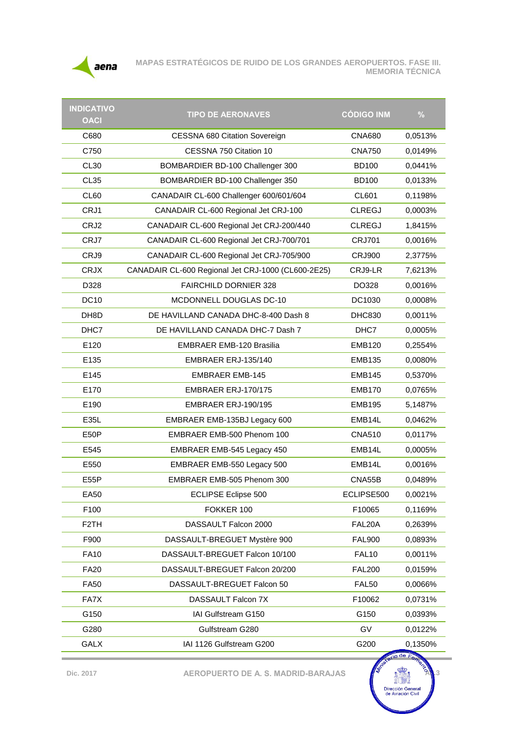

**MAPAS ESTRATÉGICOS DE RUIDO DE LOS GRANDES AEROPUERTOS. FASE III. MEMORIA TÉCNICA**

| <b>INDICATIVO</b><br><b>OACI</b> | <b>TIPO DE AERONAVES</b>                           | <b>CÓDIGO INM</b> | $\frac{9}{6}$ |
|----------------------------------|----------------------------------------------------|-------------------|---------------|
| C680                             | <b>CESSNA 680 Citation Sovereign</b>               | <b>CNA680</b>     | 0,0513%       |
| C750                             | CESSNA 750 Citation 10                             | <b>CNA750</b>     | 0,0149%       |
| <b>CL30</b>                      | BOMBARDIER BD-100 Challenger 300                   | <b>BD100</b>      | 0,0441%       |
| CL <sub>35</sub>                 | BOMBARDIER BD-100 Challenger 350                   | <b>BD100</b>      | 0,0133%       |
| CL60                             | CANADAIR CL-600 Challenger 600/601/604             | CL601             | 0,1198%       |
| CRJ1                             | CANADAIR CL-600 Regional Jet CRJ-100               | <b>CLREGJ</b>     | 0,0003%       |
| CRJ2                             | CANADAIR CL-600 Regional Jet CRJ-200/440           | <b>CLREGJ</b>     | 1,8415%       |
| CRJ7                             | CANADAIR CL-600 Regional Jet CRJ-700/701           | <b>CRJ701</b>     | 0,0016%       |
| CRJ9                             | CANADAIR CL-600 Regional Jet CRJ-705/900           | <b>CRJ900</b>     | 2,3775%       |
| <b>CRJX</b>                      | CANADAIR CL-600 Regional Jet CRJ-1000 (CL600-2E25) | CRJ9-LR           | 7,6213%       |
| D328                             | <b>FAIRCHILD DORNIER 328</b>                       | DO328             | 0,0016%       |
| <b>DC10</b>                      | MCDONNELL DOUGLAS DC-10                            | DC1030            | 0,0008%       |
| DH8D                             | DE HAVILLAND CANADA DHC-8-400 Dash 8               | <b>DHC830</b>     | 0,0011%       |
| DHC7                             | DE HAVILLAND CANADA DHC-7 Dash 7                   | DHC7              | 0,0005%       |
| E120                             | <b>EMBRAER EMB-120 Brasilia</b>                    | <b>EMB120</b>     | 0,2554%       |
| E135                             | EMBRAER ERJ-135/140                                | <b>EMB135</b>     | 0,0080%       |
| E145                             | <b>EMBRAER EMB-145</b>                             | <b>EMB145</b>     | 0,5370%       |
| E170                             | EMBRAER ERJ-170/175                                | <b>EMB170</b>     | 0,0765%       |
| E190                             | EMBRAER ERJ-190/195                                | <b>EMB195</b>     | 5,1487%       |
| E35L                             | EMBRAER EMB-135BJ Legacy 600                       | EMB14L            | 0,0462%       |
| E50P                             | EMBRAER EMB-500 Phenom 100                         | <b>CNA510</b>     | 0,0117%       |
| E545                             | EMBRAER EMB-545 Legacy 450                         | EMB14L            | 0,0005%       |
| E550                             | EMBRAER EMB-550 Legacy 500                         | EMB14L            | 0,0016%       |
| E55P                             | EMBRAER EMB-505 Phenom 300                         | CNA55B            | 0,0489%       |
| EA50                             | <b>ECLIPSE Eclipse 500</b>                         | ECLIPSE500        | 0,0021%       |
| F100                             | FOKKER 100                                         | F10065            | 0,1169%       |
| F <sub>2</sub> TH                | DASSAULT Falcon 2000                               | FAL20A            | 0,2639%       |
| F900                             | DASSAULT-BREGUET Mystère 900                       | <b>FAL900</b>     | 0,0893%       |
| <b>FA10</b>                      | DASSAULT-BREGUET Falcon 10/100                     | <b>FAL10</b>      | 0,0011%       |
| <b>FA20</b>                      | DASSAULT-BREGUET Falcon 20/200                     | <b>FAL200</b>     | 0,0159%       |
| <b>FA50</b>                      | DASSAULT-BREGUET Falcon 50                         | <b>FAL50</b>      | 0,0066%       |
| FA7X                             | DASSAULT Falcon 7X                                 | F10062            | 0,0731%       |
| G150                             | IAI Gulfstream G150                                | G150              | 0,0393%       |
| G280                             | Gulfstream G280                                    | GV                | 0,0122%       |
| <b>GALX</b>                      | IAI 1126 Gulfstream G200                           | G200              | 0,1350%       |

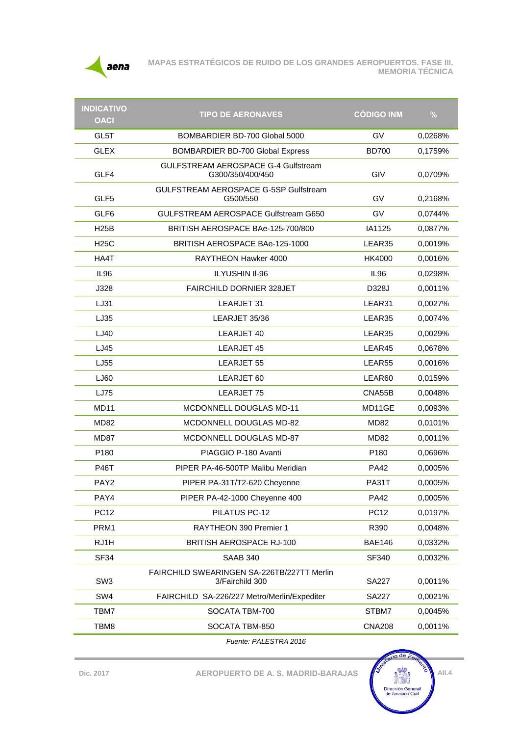

| <b>INDICATIVO</b><br><b>OACI</b> | <b>TIPO DE AERONAVES</b>                                       | <b>CÓDIGO INM</b> | $\frac{9}{6}$ |
|----------------------------------|----------------------------------------------------------------|-------------------|---------------|
| GL5T                             | BOMBARDIER BD-700 Global 5000                                  | GV                | 0,0268%       |
| <b>GLEX</b>                      | <b>BOMBARDIER BD-700 Global Express</b>                        | <b>BD700</b>      | 0,1759%       |
| GLF4                             | <b>GULFSTREAM AEROSPACE G-4 Gulfstream</b><br>G300/350/400/450 | GIV               | 0,0709%       |
| GLF <sub>5</sub>                 | GULFSTREAM AEROSPACE G-5SP Gulfstream<br>G500/550              | GV                | 0,2168%       |
| GLF <sub>6</sub>                 | GULFSTREAM AEROSPACE Gulfstream G650                           | GV                | 0,0744%       |
| <b>H25B</b>                      | BRITISH AEROSPACE BAe-125-700/800                              | IA1125            | 0,0877%       |
| <b>H25C</b>                      | BRITISH AEROSPACE BAe-125-1000                                 | LEAR35            | 0,0019%       |
| HA4T                             | RAYTHEON Hawker 4000                                           | HK4000            | 0,0016%       |
| <b>IL96</b>                      | <b>ILYUSHIN II-96</b>                                          | IL <sub>96</sub>  | 0,0298%       |
| J328                             | FAIRCHILD DORNIER 328JET                                       | D328J             | 0,0011%       |
| LJ31                             | LEARJET 31                                                     | LEAR31            | 0,0027%       |
| LJ35                             | LEARJET 35/36                                                  | LEAR35            | 0,0074%       |
| LJ40                             | LEARJET 40                                                     | LEAR35            | 0,0029%       |
| LJ45                             | LEARJET 45                                                     | LEAR45            | 0,0678%       |
| LJ55                             | LEARJET 55                                                     | LEAR55            | 0,0016%       |
| LJ60                             | LEARJET 60                                                     | LEAR60            | 0,0159%       |
| LJ75                             | LEARJET 75                                                     | CNA55B            | 0,0048%       |
| <b>MD11</b>                      | MCDONNELL DOUGLAS MD-11                                        | MD11GE            | 0,0093%       |
| MD82                             | MCDONNELL DOUGLAS MD-82                                        | MD82              | 0,0101%       |
| <b>MD87</b>                      | <b>MCDONNELL DOUGLAS MD-87</b>                                 | <b>MD82</b>       | 0,0011%       |
| P <sub>180</sub>                 | PIAGGIO P-180 Avanti                                           | P <sub>180</sub>  | 0,0696%       |
| <b>P46T</b>                      | PIPER PA-46-500TP Malibu Meridian                              | <b>PA42</b>       | 0,0005%       |
| PAY <sub>2</sub>                 | PIPER PA-31T/T2-620 Cheyenne                                   | PA31T             | 0,0005%       |
| PAY4                             | PIPER PA-42-1000 Cheyenne 400                                  | <b>PA42</b>       | 0,0005%       |
| <b>PC12</b>                      | PILATUS PC-12                                                  | <b>PC12</b>       | 0,0197%       |
| PRM1                             | RAYTHEON 390 Premier 1                                         | R390              | 0,0048%       |
| RJ1H                             | <b>BRITISH AEROSPACE RJ-100</b>                                | <b>BAE146</b>     | 0,0332%       |
| <b>SF34</b>                      | <b>SAAB 340</b>                                                | SF340             | 0,0032%       |
| SW <sub>3</sub>                  | FAIRCHILD SWEARINGEN SA-226TB/227TT Merlin<br>3/Fairchild 300  | <b>SA227</b>      | 0,0011%       |
| SW4                              | FAIRCHILD SA-226/227 Metro/Merlin/Expediter                    | <b>SA227</b>      | 0,0021%       |
| TBM7                             | SOCATA TBM-700                                                 | STBM7             | 0,0045%       |
| TBM8                             | SOCATA TBM-850                                                 | <b>CNA208</b>     | 0,0011%       |
|                                  |                                                                |                   |               |

*Fuente: PALESTRA 2016*

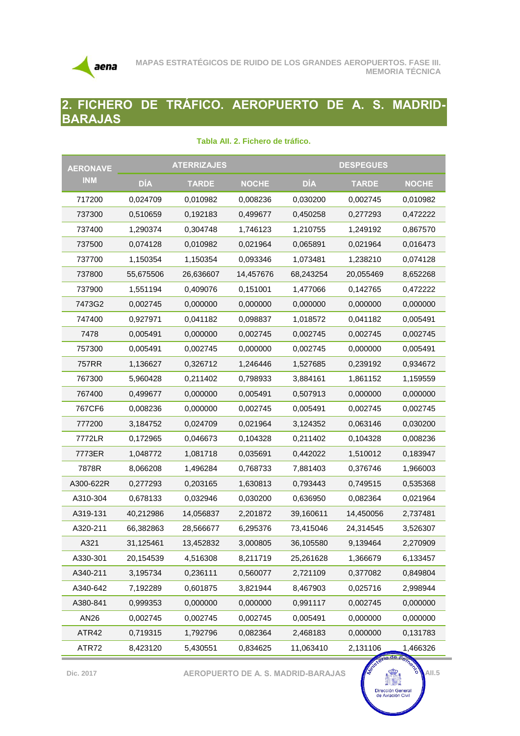

## **2. FICHERO DE TRÁFICO. AEROPUERTO DE A. S. MADRID-BARAJAS**

| <b>AERONAVE</b> | <b>ATERRIZAJES</b> |              | <b>DESPEGUES</b> |            |              |              |
|-----------------|--------------------|--------------|------------------|------------|--------------|--------------|
| <b>INM</b>      | DÍA                | <b>TARDE</b> | <b>NOCHE</b>     | <b>DÍA</b> | <b>TARDE</b> | <b>NOCHE</b> |
| 717200          | 0,024709           | 0.010982     | 0,008236         | 0,030200   | 0,002745     | 0,010982     |
| 737300          | 0,510659           | 0,192183     | 0,499677         | 0,450258   | 0,277293     | 0,472222     |
| 737400          | 1,290374           | 0,304748     | 1,746123         | 1,210755   | 1,249192     | 0,867570     |
| 737500          | 0,074128           | 0,010982     | 0,021964         | 0,065891   | 0,021964     | 0,016473     |
| 737700          | 1,150354           | 1,150354     | 0,093346         | 1,073481   | 1,238210     | 0,074128     |
| 737800          | 55,675506          | 26,636607    | 14,457676        | 68,243254  | 20,055469    | 8,652268     |
| 737900          | 1,551194           | 0,409076     | 0,151001         | 1,477066   | 0,142765     | 0,472222     |
| 7473G2          | 0,002745           | 0,000000     | 0,000000         | 0,000000   | 0,000000     | 0,000000     |
| 747400          | 0,927971           | 0,041182     | 0,098837         | 1,018572   | 0,041182     | 0,005491     |
| 7478            | 0,005491           | 0,000000     | 0,002745         | 0,002745   | 0,002745     | 0,002745     |
| 757300          | 0,005491           | 0,002745     | 0,000000         | 0,002745   | 0,000000     | 0,005491     |
| 757RR           | 1,136627           | 0,326712     | 1,246446         | 1,527685   | 0,239192     | 0,934672     |
| 767300          | 5,960428           | 0,211402     | 0,798933         | 3,884161   | 1,861152     | 1,159559     |
| 767400          | 0,499677           | 0,000000     | 0,005491         | 0,507913   | 0,000000     | 0,000000     |
| 767CF6          | 0,008236           | 0,000000     | 0,002745         | 0,005491   | 0,002745     | 0,002745     |
| 777200          | 3,184752           | 0,024709     | 0,021964         | 3,124352   | 0,063146     | 0,030200     |
| 7772LR          | 0,172965           | 0,046673     | 0,104328         | 0,211402   | 0,104328     | 0,008236     |
| 7773ER          | 1,048772           | 1,081718     | 0,035691         | 0,442022   | 1,510012     | 0,183947     |
| 7878R           | 8,066208           | 1,496284     | 0,768733         | 7,881403   | 0,376746     | 1,966003     |
| A300-622R       | 0,277293           | 0,203165     | 1,630813         | 0,793443   | 0,749515     | 0,535368     |
| A310-304        | 0,678133           | 0,032946     | 0,030200         | 0,636950   | 0,082364     | 0,021964     |
| A319-131        | 40,212986          | 14,056837    | 2,201872         | 39,160611  | 14,450056    | 2,737481     |
| A320-211        | 66,382863          | 28,566677    | 6,295376         | 73,415046  | 24,314545    | 3,526307     |
| A321            | 31,125461          | 13,452832    | 3,000805         | 36.105580  | 9,139464     | 2,270909     |
| A330-301        | 20,154539          | 4,516308     | 8,211719         | 25,261628  | 1,366679     | 6,133457     |
| A340-211        | 3,195734           | 0,236111     | 0,560077         | 2,721109   | 0,377082     | 0,849804     |
| A340-642        | 7,192289           | 0,601875     | 3,821944         | 8,467903   | 0,025716     | 2,998944     |
| A380-841        | 0,999353           | 0,000000     | 0,000000         | 0,991117   | 0,002745     | 0,000000     |
| AN26            | 0,002745           | 0,002745     | 0,002745         | 0,005491   | 0,000000     | 0,000000     |
| ATR42           | 0,719315           | 1,792796     | 0,082364         | 2,468183   | 0,000000     | 0,131783     |
| ATR72           | 8,423120           | 5,430551     | 0,834625         | 11,063410  | 2,131106     | 1,466326     |

#### **Tabla AII. 2. Fichero de tráfico.**

**Dic.** 2017 **AEROPUERTO DE A. S. MADRID-BARAJAS**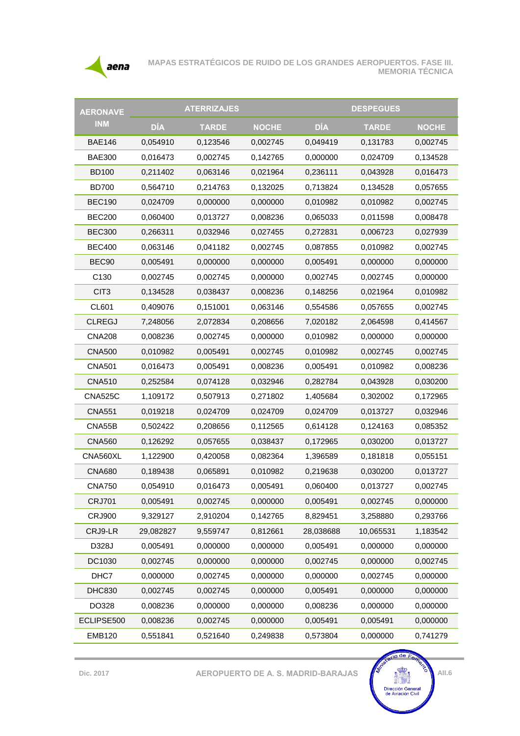

| <b>AERONAVE</b>   |            | <b>ATERRIZAJES</b> |              |            | <b>DESPEGUES</b> |              |
|-------------------|------------|--------------------|--------------|------------|------------------|--------------|
| <b>INM</b>        | <b>DÍA</b> | <b>TARDE</b>       | <b>NOCHE</b> | <b>DÍA</b> | <b>TARDE</b>     | <b>NOCHE</b> |
| <b>BAE146</b>     | 0,054910   | 0,123546           | 0,002745     | 0,049419   | 0,131783         | 0,002745     |
| <b>BAE300</b>     | 0,016473   | 0,002745           | 0,142765     | 0,000000   | 0,024709         | 0,134528     |
| <b>BD100</b>      | 0,211402   | 0,063146           | 0,021964     | 0,236111   | 0,043928         | 0,016473     |
| <b>BD700</b>      | 0,564710   | 0,214763           | 0,132025     | 0,713824   | 0,134528         | 0,057655     |
| <b>BEC190</b>     | 0,024709   | 0,000000           | 0,000000     | 0,010982   | 0,010982         | 0,002745     |
| <b>BEC200</b>     | 0,060400   | 0,013727           | 0,008236     | 0,065033   | 0,011598         | 0,008478     |
| <b>BEC300</b>     | 0,266311   | 0,032946           | 0,027455     | 0,272831   | 0,006723         | 0,027939     |
| <b>BEC400</b>     | 0,063146   | 0,041182           | 0,002745     | 0,087855   | 0,010982         | 0,002745     |
| BEC <sub>90</sub> | 0,005491   | 0,000000           | 0,000000     | 0,005491   | 0,000000         | 0,000000     |
| C130              | 0,002745   | 0,002745           | 0,000000     | 0,002745   | 0,002745         | 0,000000     |
| CIT <sub>3</sub>  | 0,134528   | 0,038437           | 0,008236     | 0,148256   | 0,021964         | 0,010982     |
| CL601             | 0,409076   | 0,151001           | 0,063146     | 0,554586   | 0,057655         | 0,002745     |
| <b>CLREGJ</b>     | 7,248056   | 2,072834           | 0,208656     | 7,020182   | 2,064598         | 0,414567     |
| <b>CNA208</b>     | 0,008236   | 0,002745           | 0,000000     | 0,010982   | 0,000000         | 0,000000     |
| <b>CNA500</b>     | 0,010982   | 0,005491           | 0,002745     | 0,010982   | 0,002745         | 0,002745     |
| <b>CNA501</b>     | 0,016473   | 0,005491           | 0,008236     | 0,005491   | 0,010982         | 0,008236     |
| <b>CNA510</b>     | 0,252584   | 0,074128           | 0,032946     | 0,282784   | 0,043928         | 0,030200     |
| <b>CNA525C</b>    | 1,109172   | 0,507913           | 0,271802     | 1,405684   | 0,302002         | 0,172965     |
| <b>CNA551</b>     | 0,019218   | 0,024709           | 0,024709     | 0,024709   | 0,013727         | 0,032946     |
| CNA55B            | 0,502422   | 0,208656           | 0,112565     | 0,614128   | 0,124163         | 0,085352     |
| <b>CNA560</b>     | 0,126292   | 0,057655           | 0,038437     | 0,172965   | 0,030200         | 0,013727     |
| CNA560XL          | 1,122900   | 0,420058           | 0,082364     | 1,396589   | 0,181818         | 0,055151     |
| <b>CNA680</b>     | 0,189438   | 0,065891           | 0,010982     | 0,219638   | 0,030200         | 0,013727     |
| <b>CNA750</b>     | 0,054910   | 0,016473           | 0,005491     | 0,060400   | 0,013727         | 0,002745     |
| <b>CRJ701</b>     | 0,005491   | 0,002745           | 0,000000     | 0,005491   | 0,002745         | 0,000000     |
| <b>CRJ900</b>     | 9,329127   | 2,910204           | 0,142765     | 8,829451   | 3,258880         | 0,293766     |
| CRJ9-LR           | 29,082827  | 9,559747           | 0,812661     | 28,038688  | 10,065531        | 1,183542     |
| D328J             | 0,005491   | 0,000000           | 0,000000     | 0,005491   | 0,000000         | 0,000000     |
| DC1030            | 0,002745   | 0,000000           | 0,000000     | 0,002745   | 0,000000         | 0,002745     |
| DHC7              | 0,000000   | 0,002745           | 0,000000     | 0,000000   | 0,002745         | 0,000000     |
| <b>DHC830</b>     | 0,002745   | 0,002745           | 0,000000     | 0,005491   | 0,000000         | 0,000000     |
| DO328             | 0,008236   | 0,000000           | 0,000000     | 0,008236   | 0,000000         | 0,000000     |
| ECLIPSE500        | 0,008236   | 0,002745           | 0,000000     | 0,005491   | 0,005491         | 0,000000     |
| <b>EMB120</b>     | 0,551841   | 0,521640           | 0,249838     | 0,573804   | 0,000000         | 0,741279     |

**Dic. 2017 AEROPUERTO DE A. S. MADRID-BARAJAS**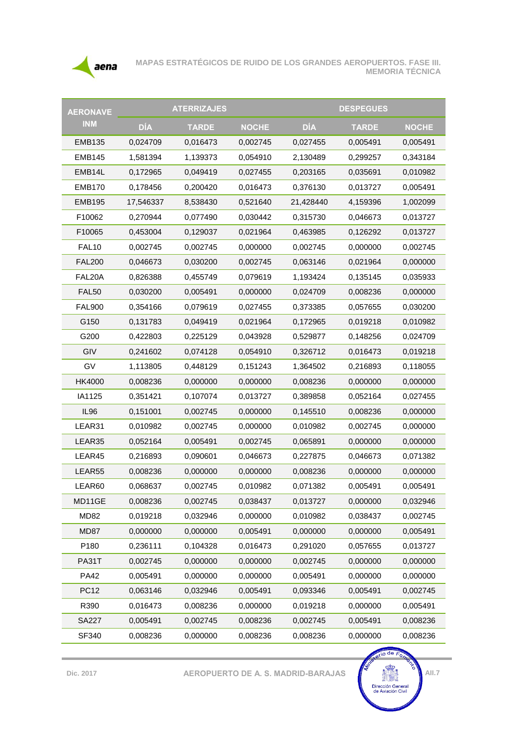

| <b>AERONAVE</b>   |            | <b>ATERRIZAJES</b> |              |            | <b>DESPEGUES</b> |              |
|-------------------|------------|--------------------|--------------|------------|------------------|--------------|
| <b>INM</b>        | <b>DÍA</b> | <b>TARDE</b>       | <b>NOCHE</b> | <b>DÍA</b> | <b>TARDE</b>     | <b>NOCHE</b> |
| <b>EMB135</b>     | 0,024709   | 0,016473           | 0,002745     | 0,027455   | 0,005491         | 0,005491     |
| <b>EMB145</b>     | 1,581394   | 1,139373           | 0,054910     | 2,130489   | 0,299257         | 0,343184     |
| EMB14L            | 0,172965   | 0,049419           | 0,027455     | 0,203165   | 0,035691         | 0,010982     |
| <b>EMB170</b>     | 0,178456   | 0,200420           | 0,016473     | 0,376130   | 0,013727         | 0,005491     |
| <b>EMB195</b>     | 17,546337  | 8,538430           | 0,521640     | 21,428440  | 4,159396         | 1,002099     |
| F10062            | 0,270944   | 0,077490           | 0,030442     | 0,315730   | 0,046673         | 0,013727     |
| F10065            | 0,453004   | 0,129037           | 0,021964     | 0,463985   | 0,126292         | 0,013727     |
| FAL <sub>10</sub> | 0,002745   | 0,002745           | 0,000000     | 0,002745   | 0,000000         | 0,002745     |
| <b>FAL200</b>     | 0,046673   | 0,030200           | 0,002745     | 0,063146   | 0,021964         | 0,000000     |
| FAL20A            | 0,826388   | 0,455749           | 0,079619     | 1,193424   | 0,135145         | 0,035933     |
| FAL50             | 0,030200   | 0,005491           | 0,000000     | 0,024709   | 0,008236         | 0,000000     |
| <b>FAL900</b>     | 0,354166   | 0,079619           | 0,027455     | 0,373385   | 0,057655         | 0,030200     |
| G150              | 0,131783   | 0,049419           | 0,021964     | 0,172965   | 0,019218         | 0,010982     |
| G200              | 0,422803   | 0,225129           | 0,043928     | 0,529877   | 0,148256         | 0,024709     |
| GIV               | 0,241602   | 0,074128           | 0,054910     | 0,326712   | 0,016473         | 0,019218     |
| GV                | 1,113805   | 0,448129           | 0,151243     | 1,364502   | 0,216893         | 0,118055     |
| <b>HK4000</b>     | 0,008236   | 0,000000           | 0,000000     | 0,008236   | 0,000000         | 0,000000     |
| IA1125            | 0,351421   | 0,107074           | 0,013727     | 0,389858   | 0,052164         | 0,027455     |
| IL96              | 0,151001   | 0,002745           | 0,000000     | 0,145510   | 0,008236         | 0,000000     |
| LEAR31            | 0,010982   | 0,002745           | 0,000000     | 0,010982   | 0,002745         | 0,000000     |
| LEAR35            | 0,052164   | 0,005491           | 0,002745     | 0,065891   | 0,000000         | 0,000000     |
| LEAR45            | 0,216893   | 0,090601           | 0,046673     | 0,227875   | 0,046673         | 0,071382     |
| LEAR55            | 0,008236   | 0,000000           | 0,000000     | 0,008236   | 0,000000         | 0,000000     |
| LEAR60            | 0,068637   | 0,002745           | 0,010982     | 0,071382   | 0,005491         | 0,005491     |
| MD11GE            | 0,008236   | 0,002745           | 0,038437     | 0,013727   | 0,000000         | 0,032946     |
| <b>MD82</b>       | 0,019218   | 0,032946           | 0,000000     | 0,010982   | 0,038437         | 0,002745     |
| MD87              | 0,000000   | 0,000000           | 0,005491     | 0,000000   | 0,000000         | 0,005491     |
| P180              | 0,236111   | 0,104328           | 0,016473     | 0,291020   | 0,057655         | 0,013727     |
| PA31T             | 0,002745   | 0,000000           | 0,000000     | 0,002745   | 0,000000         | 0,000000     |
| <b>PA42</b>       | 0,005491   | 0,000000           | 0,000000     | 0,005491   | 0,000000         | 0,000000     |
| <b>PC12</b>       | 0,063146   | 0,032946           | 0,005491     | 0,093346   | 0,005491         | 0,002745     |
| R390              | 0,016473   | 0,008236           | 0,000000     | 0,019218   | 0,000000         | 0,005491     |
| <b>SA227</b>      | 0,005491   | 0,002745           | 0,008236     | 0,002745   | 0,005491         | 0,008236     |
| SF340             | 0,008236   | 0,000000           | 0,008236     | 0,008236   | 0,000000         | 0,008236     |

erio de Fom **Dic.** 2017 **AEROPUERTO DE A. S. MADRID-BARAJAS** Dirección General<br>de Aviación Civil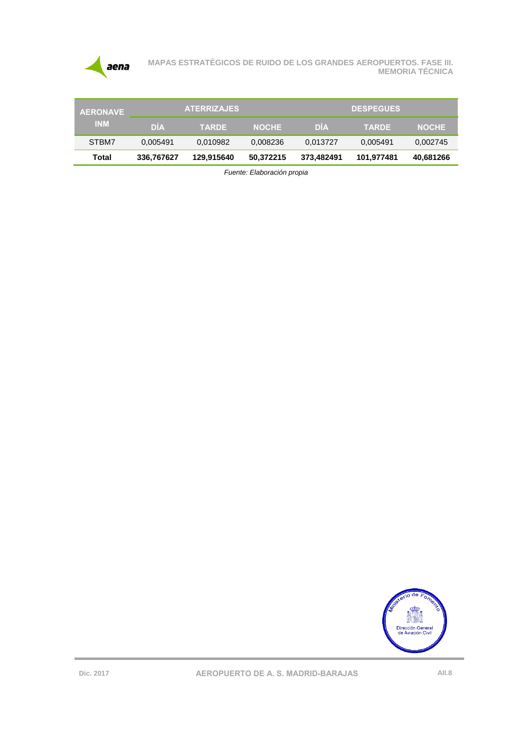

| <b>AERONAVE</b> | <b>ATERRIZAJES</b> |              |              | <b>DESPEGUES</b> |              |              |
|-----------------|--------------------|--------------|--------------|------------------|--------------|--------------|
| <b>INM</b>      | <b>DIA</b>         | <b>TARDE</b> | <b>NOCHE</b> | <b>DIA</b>       | <b>TARDE</b> | <b>NOCHE</b> |
| STBM7           | 0.005491           | 0.010982     | 0.008236     | 0,013727         | 0,005491     | 0,002745     |
| Total           | 336.767627         | 129.915640   | 50,372215    | 373.482491       | 101,977481   | 40,681266    |

*Fuente: Elaboración propia*

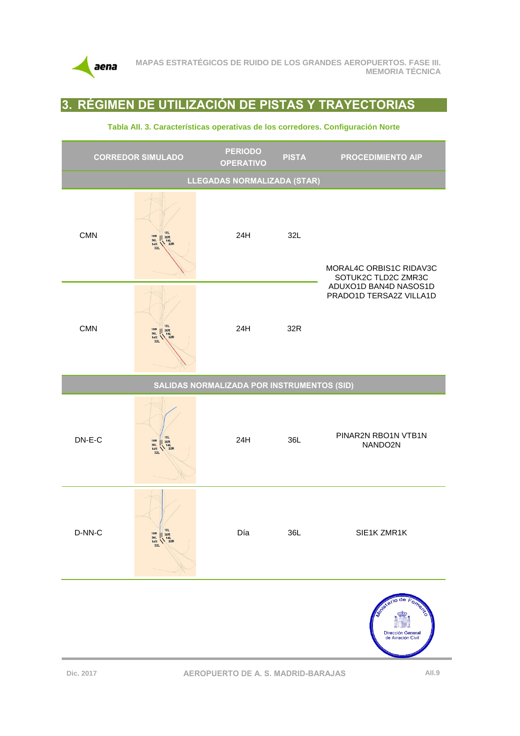

## **3. RÉGIMEN DE UTILIZACIÓN DE PISTAS Y TRAYECTORIAS**



#### **Tabla AII. 3. Características operativas de los corredores. Configuración Norte**

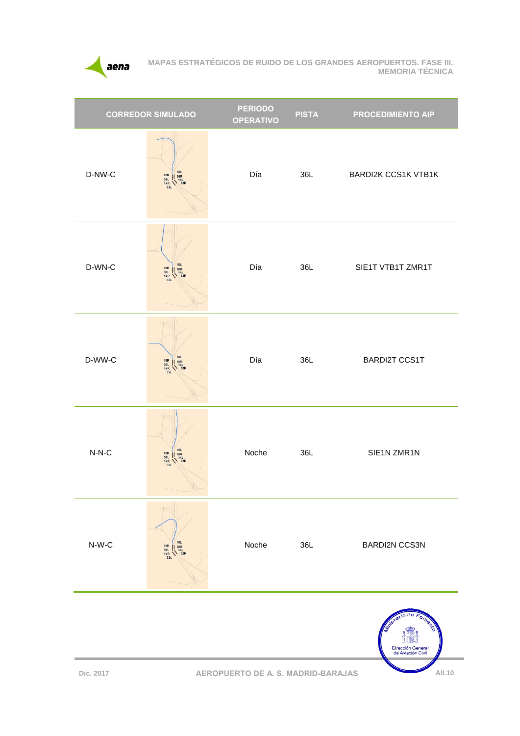

|          | <b>CORREDOR SIMULADO</b>                                                                                           | <b>PERIODO</b><br><b>OPERATIVO</b> | <b>PISTA</b> | <b>PROCEDIMIENTO AIP</b>   |
|----------|--------------------------------------------------------------------------------------------------------------------|------------------------------------|--------------|----------------------------|
| $D-NW-C$ | <b>18L</b><br>18R<br>18R<br>18L<br>14R<br>14R<br>32R<br>32R                                                        | Día                                | 36L          | <b>BARDI2K CCS1K VTB1K</b> |
| D-WN-C   | <b>18L</b><br>18R<br>36L<br>14R<br>32L<br>$\begin{array}{c}\n 36R \\  \hline\n 14L \\  \hline\n 32R\n \end{array}$ | Día                                | 36L          | SIE1T VTB1T ZMR1T          |
| D-WW-C   | 18L<br>  36R<br>  14L<br>  32R<br>18R<br>36L<br>14R<br>32L                                                         | Día                                | 36L          | <b>BARDI2T CCS1T</b>       |
| $N-N-C$  | <b>18L</b><br>$\begin{array}{c c}\n 18R & 36R \\  36L & 14L \\  14R & 32R \\  32L\n\end{array}$                    | Noche                              | 36L          | SIE1N ZMR1N                |
| $N-W-C$  | <b>18L</b><br>$\begin{array}{c} 18R \\ 36L \\ 14R \\ 32L \end{array}$<br>36R<br>$\frac{4L}{32R}$                   | Noche                              | 36L          | <b>BARDI2N CCS3N</b>       |
|          |                                                                                                                    |                                    |              | de<br>oment                |

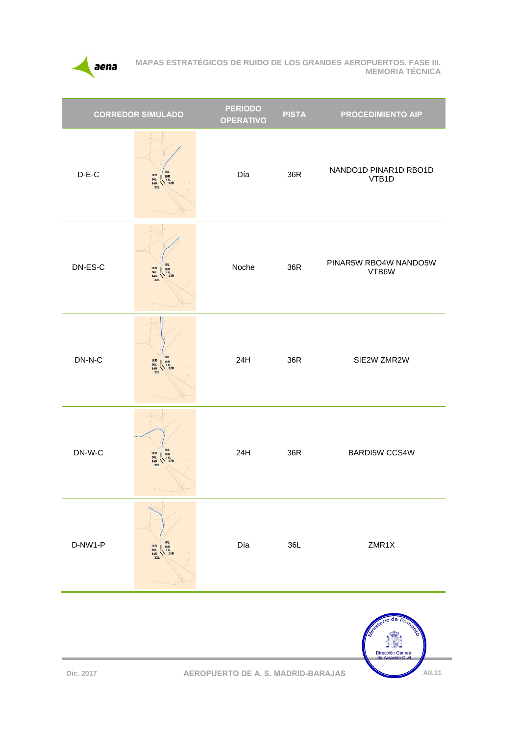

| <b>CORREDOR SIMULADO</b> |                                                                                                                    | <b>PERIODO</b><br><b>OPERATIVO</b> | <b>PISTA</b> | <b>PROCEDIMIENTO AIP</b>       |
|--------------------------|--------------------------------------------------------------------------------------------------------------------|------------------------------------|--------------|--------------------------------|
| $D-E-C$                  | <b>18L</b><br>18R<br>36L<br>14R<br>32L<br>$\begin{array}{c}\n 36R \\  \searrow 14L \\  \searrow 32R\n \end{array}$ | Día                                | 36R          | NANDO1D PINAR1D RBO1D<br>VTB1D |
| DN-ES-C                  | <b>18L</b><br>18R<br>14R<br>14R<br>14R<br>32R<br>32R                                                               | Noche                              | 36R          | PINAR5W RBO4W NANDO5W<br>VTB6W |
| $DN-N-C$                 | <b>18L</b><br>18R<br>14R<br>14R<br>14R<br>32R<br>32R                                                               | 24H                                | 36R          | SIE2W ZMR2W                    |
| $DN-W-C$                 | 18R<br>14R<br>14R<br>14R<br>32R<br>32R                                                                             | 24H                                | 36R          | <b>BARDI5W CCS4W</b>           |
| D-NW1-P                  | $\begin{array}{c}\n 18R \\  36L \\  14R \\  32L\n\end{array}$<br>18L<br>14L<br>14L<br>32R                          | Día                                | 36L          | ZMR1X                          |
|                          |                                                                                                                    |                                    |              |                                |

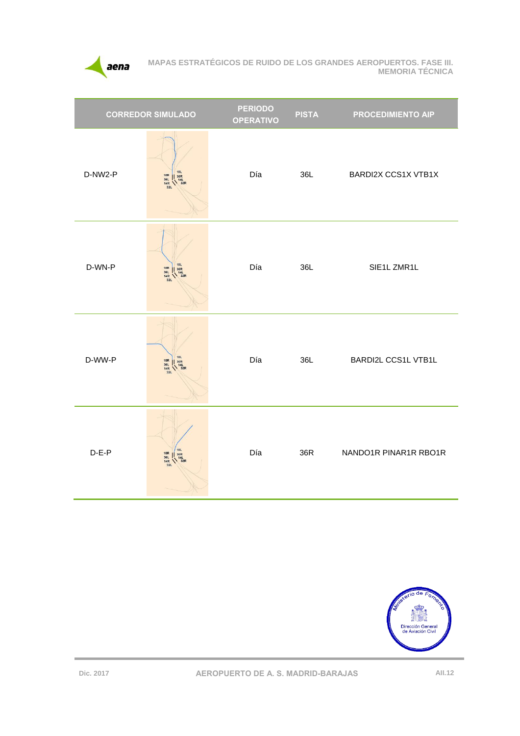

| <b>CORREDOR SIMULADO</b> |                                                      | <b>PERIODO</b><br><b>OPERATIVO</b> | <b>PISTA</b> | <b>PROCEDIMIENTO AIP</b>   |
|--------------------------|------------------------------------------------------|------------------------------------|--------------|----------------------------|
| D-NW2-P                  | 181<br>18R<br>18R<br>18L<br>14R<br>14R<br>32R<br>32R | Día                                | 36L          | <b>BARDI2X CCS1X VTB1X</b> |
| D-WN-P                   | 18L<br>18R<br>18R<br>36L<br>14R<br>14R<br>32R<br>32R | Día                                | 36L          | SIE1L ZMR1L                |
| D-WW-P                   | 18R<br>36L<br>14R<br>32L<br>18L<br>36R<br>14L<br>32R | Día                                | 36L          | <b>BARDI2L CCS1L VTB1L</b> |
| $D-E-P$                  | 18L<br>18R<br>18R<br>18L<br>14R<br>14R<br>32R<br>32R | Día                                | 36R          | NANDO1R PINAR1R RBO1R      |

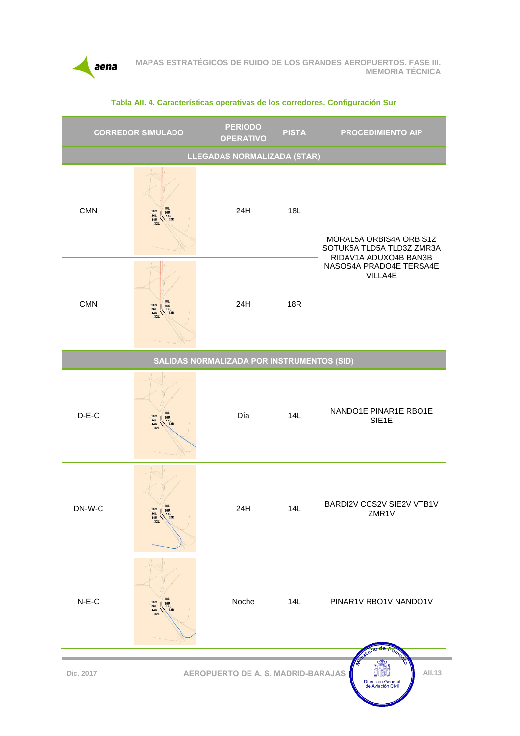

|            | <b>CORREDOR SIMULADO</b>                                                                                         | <b>PERIODO</b><br><b>OPERATIVO</b>         | <b>PISTA</b> | <b>PROCEDIMIENTO AIP</b>                                                      |
|------------|------------------------------------------------------------------------------------------------------------------|--------------------------------------------|--------------|-------------------------------------------------------------------------------|
|            |                                                                                                                  | LLEGADAS NORMALIZADA (STAR)                |              |                                                                               |
| <b>CMN</b> | 18R 18L<br>36L 36R<br>14L<br>14R 32R<br>32L                                                                      | 24H                                        | 18L          | MORAL5A ORBIS4A ORBIS1Z<br>SOTUK5A TLD5A TLD3Z ZMR3A<br>RIDAV1A ADUXO4B BAN3B |
| <b>CMN</b> | 18L<br>18R<br>36L<br>36R<br>14R<br>32R<br>32R                                                                    | 24H                                        | <b>18R</b>   | NASOS4A PRADO4E TERSA4E<br>VILLA4E                                            |
|            |                                                                                                                  | SALIDAS NORMALIZADA POR INSTRUMENTOS (SID) |              |                                                                               |
| $D-E-C$    | <b>18L</b><br>$\begin{array}{c}\n 18R \\  36L \\  14R \\  32L\n\end{array}$<br>$\frac{1}{14L}$<br>$14L$<br>$32R$ | Día                                        | 14L          | NANDO1E PINAR1E RBO1E<br>SIE1E                                                |
| DN-W-C     | 18L<br>18R    36R<br>36L 14L<br>14R 32R                                                                          | 24H                                        | 14L          | BARDI2V CCS2V SIE2V VTB1V<br>ZMR1V                                            |
| $N-E-C$    | <b>18L</b><br>18R<br>$\frac{1}{36R}$<br>36L 14L<br>14R 32R<br>32L                                                | Noche                                      | 14L          | PINAR1V RBO1V NANDO1V<br><b>Fistel</b>                                        |
| Dic. 2017  |                                                                                                                  | <b>AEROPUERTO DE A. S. MADRID-BARAJAS</b>  |              | ment<br>All.13<br>Dirección General<br>de Aviación Civil                      |

#### **Tabla AII. 4. Características operativas de los corredores. Configuración Sur**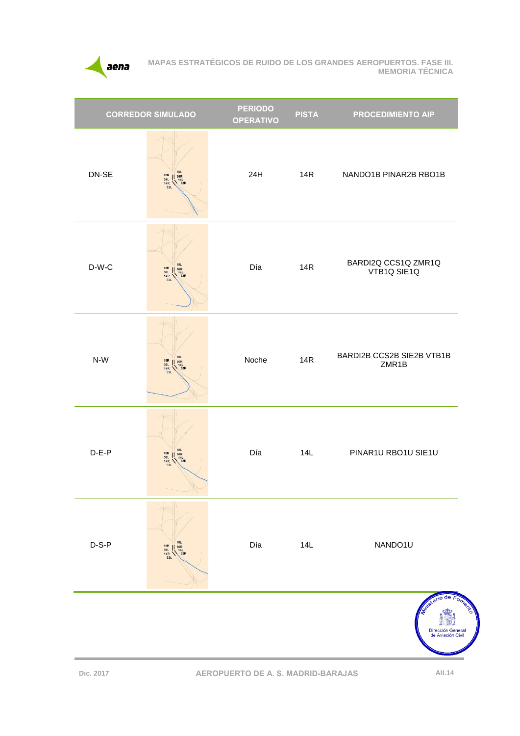

| <b>CORREDOR SIMULADO</b> |                                                                                                                      | <b>PERIODO</b><br><b>OPERATIVO</b> | <b>PISTA</b> | <b>PROCEDIMIENTO AIP</b>                   |  |
|--------------------------|----------------------------------------------------------------------------------------------------------------------|------------------------------------|--------------|--------------------------------------------|--|
| DN-SE                    | <b>18L</b><br>18R<br>36L<br>14R<br>32L<br>14L<br>14L<br>32R                                                          | 24H                                | 14R          | NANDO1B PINAR2B RBO1B                      |  |
| $D-W-C$                  | <b>18L</b><br>$\begin{array}{c}\n 18R \\  36L \\  14R \\  32L\n\end{array}$<br>14L<br>14L<br>32R                     | Día                                | <b>14R</b>   | BARDI2Q CCS1Q ZMR1Q<br>VTB1Q SIE1Q         |  |
| $N-W$                    | 18L<br>18R<br>$\begin{array}{c}\n 1.36R \\  1.4L \\  32R\n \end{array}$<br>36L<br>14R<br>32L                         | Noche                              | <b>14R</b>   | BARDI2B CCS2B SIE2B VTB1B<br>ZMR1B         |  |
| $D-E-P$                  | <b>18L</b><br>18R<br>18R<br>14R<br>14R<br>12R<br>12R                                                                 | Día                                | 14L          | PINAR1U RBO1U SIE1U                        |  |
| $D-S-P$                  | <b>18L</b><br>18R<br>36L<br>14R<br>32L<br>$\begin{array}{c}\n 1.36R \\  \hline\n 14L \\  \hline\n 32R\n \end{array}$ | Día                                | 14L          | NANDO1U                                    |  |
|                          |                                                                                                                      |                                    |              | de<br>Dirección Genera<br>de Aviación Civi |  |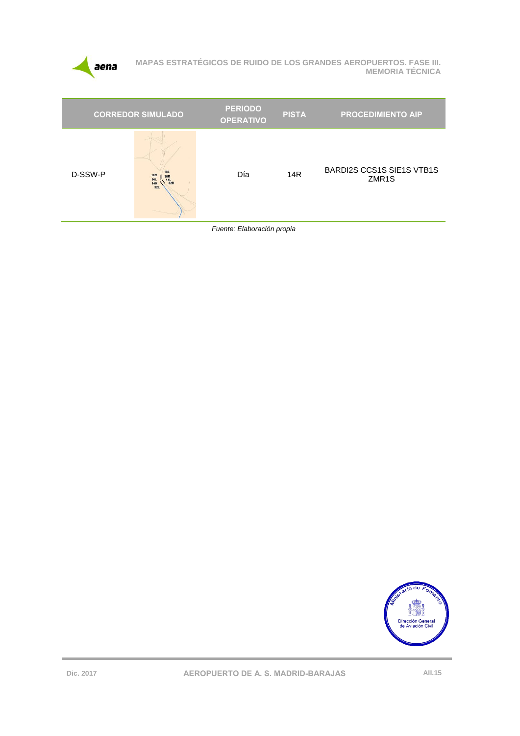

| <b>CORREDOR SIMULADO</b> |                                                                    | <b>PERIODO</b><br><b>OPERATIVO</b> | <b>PISTA</b>    | <b>PROCEDIMIENTO AIP</b>                               |
|--------------------------|--------------------------------------------------------------------|------------------------------------|-----------------|--------------------------------------------------------|
| D-SSW-P                  | <b>18L</b><br><b>18R</b><br>36L<br>14R<br>32L<br>$\frac{14L}{32R}$ | Día                                | 14 <sub>R</sub> | <b>BARDI2S CCS1S SIE1S VTB1S</b><br>ZMR <sub>1</sub> S |
|                          |                                                                    |                                    |                 |                                                        |

Fuente: Elaboración propia

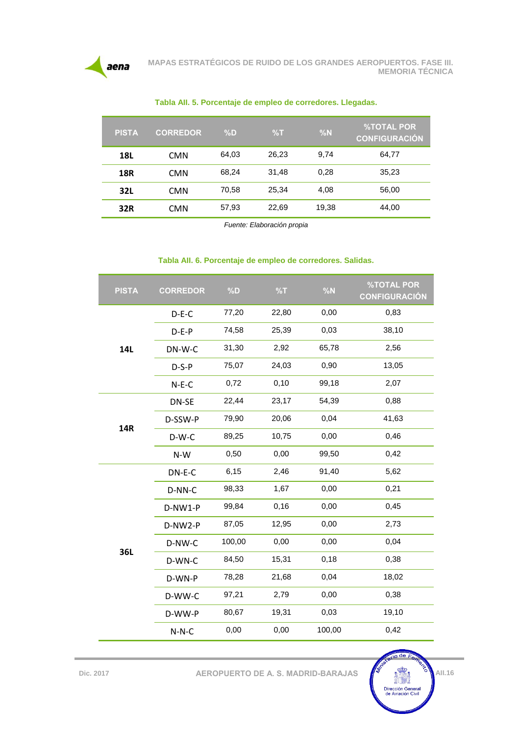

| <b>PISTA</b> | <b>CORREDOR</b> | $\%D$ | %T    | %N    | $\sqrt{2}$ TOTAL POR<br><b>CONFIGURACIÓN</b> |
|--------------|-----------------|-------|-------|-------|----------------------------------------------|
| <b>18L</b>   | <b>CMN</b>      | 64,03 | 26,23 | 9,74  | 64,77                                        |
| <b>18R</b>   | <b>CMN</b>      | 68.24 | 31,48 | 0,28  | 35,23                                        |
| 32L          | <b>CMN</b>      | 70,58 | 25,34 | 4,08  | 56,00                                        |
| 32R          | <b>CMN</b>      | 57,93 | 22,69 | 19,38 | 44,00                                        |

**Tabla AII. 5. Porcentaje de empleo de corredores. Llegadas.**

*Fuente: Elaboración propia*

#### **Tabla AII. 6. Porcentaje de empleo de corredores. Salidas.**

| <b>PISTA</b> | <b>CORREDOR</b> | %D     | %T    | %N     | <b>%TOTAL POR</b><br><b>CONFIGURACIÓN</b> |
|--------------|-----------------|--------|-------|--------|-------------------------------------------|
| 14L          | $D-E-C$         | 77,20  | 22,80 | 0,00   | 0,83                                      |
|              | $D-E-P$         | 74,58  | 25,39 | 0,03   | 38,10                                     |
|              | DN-W-C          | 31,30  | 2,92  | 65,78  | 2,56                                      |
|              | $D-S-P$         | 75,07  | 24,03 | 0,90   | 13,05                                     |
|              | $N-E-C$         | 0,72   | 0,10  | 99,18  | 2,07                                      |
| <b>14R</b>   | DN-SE           | 22,44  | 23,17 | 54,39  | 0,88                                      |
|              | D-SSW-P         | 79,90  | 20,06 | 0,04   | 41,63                                     |
|              | $D-W-C$         | 89,25  | 10,75 | 0,00   | 0,46                                      |
|              | N-W             | 0,50   | 0,00  | 99,50  | 0,42                                      |
|              | DN-E-C          | 6,15   | 2,46  | 91,40  | 5,62                                      |
|              | D-NN-C          | 98,33  | 1,67  | 0,00   | 0,21                                      |
|              | D-NW1-P         | 99,84  | 0,16  | 0,00   | 0,45                                      |
|              | D-NW2-P         | 87,05  | 12,95 | 0,00   | 2,73                                      |
|              | D-NW-C          | 100,00 | 0,00  | 0,00   | 0,04                                      |
| 36L          | D-WN-C          | 84,50  | 15,31 | 0,18   | 0,38                                      |
|              | D-WN-P          | 78,28  | 21,68 | 0,04   | 18,02                                     |
|              | D-WW-C          | 97,21  | 2,79  | 0,00   | 0,38                                      |
|              | D-WW-P          | 80,67  | 19,31 | 0,03   | 19,10                                     |
|              | $N-N-C$         | 0,00   | 0,00  | 100,00 | 0,42                                      |

 $\frac{1}{10}$  de  $F_0$